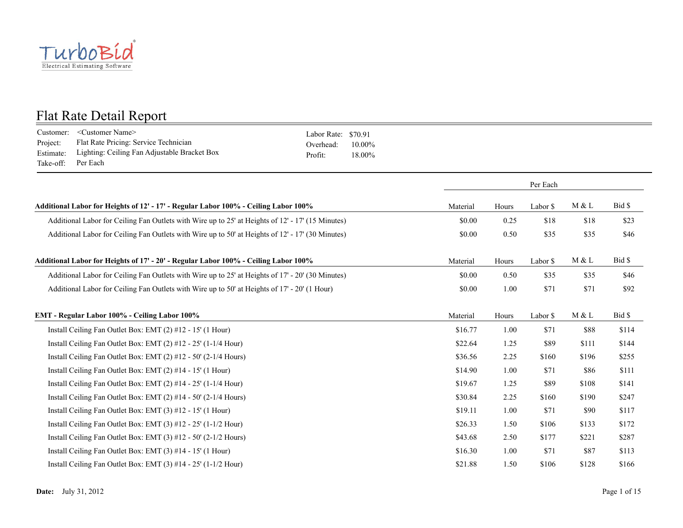

| Customer:<br>Project:<br>Estimate:<br>Take-off: | <customer name=""><br/>Flat Rate Pricing: Service Technician<br/>Lighting: Ceiling Fan Adjustable Bracket Box<br/>Per Each</customer> | \$70.91<br>Labor Rate:<br>Overhead:<br>$10.00\%$<br>Profit:<br>18.00% |          |       |          |       |        |
|-------------------------------------------------|---------------------------------------------------------------------------------------------------------------------------------------|-----------------------------------------------------------------------|----------|-------|----------|-------|--------|
|                                                 |                                                                                                                                       |                                                                       |          |       | Per Each |       |        |
|                                                 | Additional Labor for Heights of 12' - 17' - Regular Labor 100% - Ceiling Labor 100%                                                   |                                                                       | Material | Hours | Labor \$ | M & L | Bid \$ |
|                                                 | Additional Labor for Ceiling Fan Outlets with Wire up to 25' at Heights of 12' - 17' (15 Minutes)                                     |                                                                       | \$0.00   | 0.25  | \$18     | \$18  | \$23   |
|                                                 | Additional Labor for Ceiling Fan Outlets with Wire up to 50' at Heights of 12' - 17' (30 Minutes)                                     |                                                                       | \$0.00   | 0.50  | \$35     | \$35  | \$46   |
|                                                 | Additional Labor for Heights of 17' - 20' - Regular Labor 100% - Ceiling Labor 100%                                                   |                                                                       | Material | Hours | Labor \$ | M & L | Bid \$ |
|                                                 | Additional Labor for Ceiling Fan Outlets with Wire up to 25' at Heights of 17' - 20' (30 Minutes)                                     |                                                                       | \$0.00   | 0.50  | \$35     | \$35  | \$46   |
|                                                 | Additional Labor for Ceiling Fan Outlets with Wire up to 50' at Heights of 17' - 20' (1 Hour)                                         |                                                                       | \$0.00   | 1.00  | \$71     | \$71  | \$92   |
|                                                 | EMT - Regular Labor 100% - Ceiling Labor 100%                                                                                         |                                                                       | Material | Hours | Labor \$ | M & L | Bid \$ |
|                                                 | Install Ceiling Fan Outlet Box: EMT (2) #12 - 15' (1 Hour)                                                                            |                                                                       | \$16.77  | 1.00  | \$71     | \$88  | \$114  |
|                                                 | Install Ceiling Fan Outlet Box: EMT $(2)$ #12 - 25' $(1-1/4$ Hour)                                                                    |                                                                       | \$22.64  | 1.25  | \$89     | \$111 | \$144  |
|                                                 | Install Ceiling Fan Outlet Box: EMT (2) #12 - 50' (2-1/4 Hours)                                                                       |                                                                       | \$36.56  | 2.25  | \$160    | \$196 | \$255  |
|                                                 | Install Ceiling Fan Outlet Box: EMT (2) #14 - 15' (1 Hour)                                                                            |                                                                       | \$14.90  | 1.00  | \$71     | \$86  | \$111  |
|                                                 | Install Ceiling Fan Outlet Box: EMT (2) #14 - 25' (1-1/4 Hour)                                                                        |                                                                       | \$19.67  | 1.25  | \$89     | \$108 | \$141  |
|                                                 | Install Ceiling Fan Outlet Box: EMT (2) #14 - 50' (2-1/4 Hours)                                                                       |                                                                       | \$30.84  | 2.25  | \$160    | \$190 | \$247  |
|                                                 | Install Ceiling Fan Outlet Box: EMT (3) #12 - 15' (1 Hour)                                                                            |                                                                       | \$19.11  | 1.00  | \$71     | \$90  | \$117  |
|                                                 | Install Ceiling Fan Outlet Box: EMT $(3)$ #12 - 25' $(1-1/2$ Hour)                                                                    |                                                                       | \$26.33  | 1.50  | \$106    | \$133 | \$172  |
|                                                 | Install Ceiling Fan Outlet Box: EMT (3) #12 - 50' (2-1/2 Hours)                                                                       |                                                                       | \$43.68  | 2.50  | \$177    | \$221 | \$287  |
|                                                 | Install Ceiling Fan Outlet Box: EMT (3) #14 - 15' (1 Hour)                                                                            |                                                                       | \$16.30  | 1.00  | \$71     | \$87  | \$113  |
|                                                 | Install Ceiling Fan Outlet Box: EMT (3) #14 - 25' (1-1/2 Hour)                                                                        |                                                                       | \$21.88  | 1.50  | \$106    | \$128 | \$166  |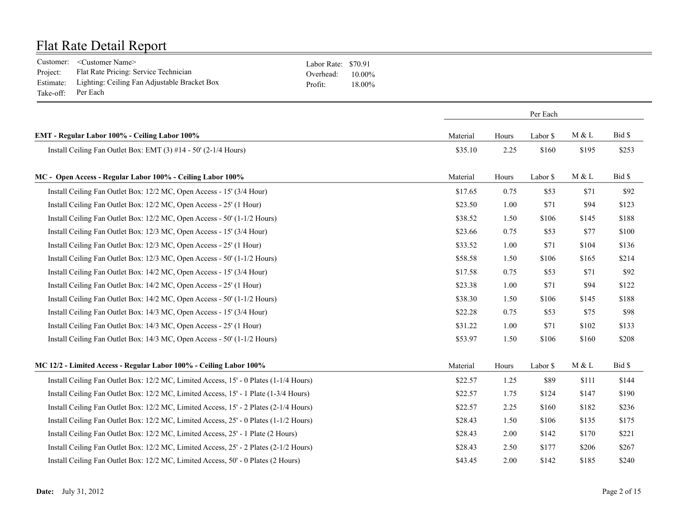|                    | Customer: <customer name=""></customer>                | Labor Rate: \$70.91 |           |
|--------------------|--------------------------------------------------------|---------------------|-----------|
| Project:           | Flat Rate Pricing: Service Technician                  | Overhead:           | $10.00\%$ |
|                    | Estimate: Lighting: Ceiling Fan Adjustable Bracket Box | Profit <sup>.</sup> | 18.00%    |
| Take-off: Per Each |                                                        |                     |           |

|                                                                                       |          | Per Each |          |       |        |  |
|---------------------------------------------------------------------------------------|----------|----------|----------|-------|--------|--|
| EMT - Regular Labor 100% - Ceiling Labor 100%                                         | Material | Hours    | Labor \$ | M & L | Bid \$ |  |
| Install Ceiling Fan Outlet Box: EMT (3) #14 - 50' (2-1/4 Hours)                       | \$35.10  | 2.25     | \$160    | \$195 | \$253  |  |
| MC - Open Access - Regular Labor 100% - Ceiling Labor 100%                            | Material | Hours    | Labor \$ | M & L | Bid \$ |  |
| Install Ceiling Fan Outlet Box: 12/2 MC, Open Access - 15' (3/4 Hour)                 | \$17.65  | 0.75     | \$53     | \$71  | \$92   |  |
| Install Ceiling Fan Outlet Box: 12/2 MC, Open Access - 25' (1 Hour)                   | \$23.50  | 1.00     | \$71     | \$94  | \$123  |  |
| Install Ceiling Fan Outlet Box: 12/2 MC, Open Access - 50' (1-1/2 Hours)              | \$38.52  | 1.50     | \$106    | \$145 | \$188  |  |
| Install Ceiling Fan Outlet Box: 12/3 MC, Open Access - 15' (3/4 Hour)                 | \$23.66  | 0.75     | \$53     | \$77  | \$100  |  |
| Install Ceiling Fan Outlet Box: 12/3 MC, Open Access - 25' (1 Hour)                   | \$33.52  | 1.00     | \$71     | \$104 | \$136  |  |
| Install Ceiling Fan Outlet Box: 12/3 MC, Open Access - 50' (1-1/2 Hours)              | \$58.58  | 1.50     | \$106    | \$165 | \$214  |  |
| Install Ceiling Fan Outlet Box: 14/2 MC, Open Access - 15' (3/4 Hour)                 | \$17.58  | 0.75     | \$53     | \$71  | \$92   |  |
| Install Ceiling Fan Outlet Box: 14/2 MC, Open Access - 25' (1 Hour)                   | \$23.38  | 1.00     | \$71     | \$94  | \$122  |  |
| Install Ceiling Fan Outlet Box: 14/2 MC, Open Access - 50' (1-1/2 Hours)              | \$38.30  | 1.50     | \$106    | \$145 | \$188  |  |
| Install Ceiling Fan Outlet Box: 14/3 MC, Open Access - 15' (3/4 Hour)                 | \$22.28  | 0.75     | \$53     | \$75  | \$98   |  |
| Install Ceiling Fan Outlet Box: 14/3 MC, Open Access - 25' (1 Hour)                   | \$31.22  | 1.00     | \$71     | \$102 | \$133  |  |
| Install Ceiling Fan Outlet Box: 14/3 MC, Open Access - 50' (1-1/2 Hours)              | \$53.97  | 1.50     | \$106    | \$160 | \$208  |  |
| MC 12/2 - Limited Access - Regular Labor 100% - Ceiling Labor 100%                    | Material | Hours    | Labor \$ | M & L | Bid \$ |  |
| Install Ceiling Fan Outlet Box: 12/2 MC, Limited Access, 15' - 0 Plates (1-1/4 Hours) | \$22.57  | 1.25     | \$89     | \$111 | \$144  |  |
| Install Ceiling Fan Outlet Box: 12/2 MC, Limited Access, 15' - 1 Plate (1-3/4 Hours)  | \$22.57  | 1.75     | \$124    | \$147 | \$190  |  |
| Install Ceiling Fan Outlet Box: 12/2 MC, Limited Access, 15' - 2 Plates (2-1/4 Hours) | \$22.57  | 2.25     | \$160    | \$182 | \$236  |  |
| Install Ceiling Fan Outlet Box: 12/2 MC, Limited Access, 25' - 0 Plates (1-1/2 Hours) | \$28.43  | 1.50     | \$106    | \$135 | \$175  |  |
| Install Ceiling Fan Outlet Box: 12/2 MC, Limited Access, 25' - 1 Plate (2 Hours)      | \$28.43  | 2.00     | \$142    | \$170 | \$221  |  |
| Install Ceiling Fan Outlet Box: 12/2 MC, Limited Access, 25' - 2 Plates (2-1/2 Hours) | \$28.43  | 2.50     | \$177    | \$206 | \$267  |  |
| Install Ceiling Fan Outlet Box: 12/2 MC, Limited Access, 50' - 0 Plates (2 Hours)     | \$43.45  | 2.00     | \$142    | \$185 | \$240  |  |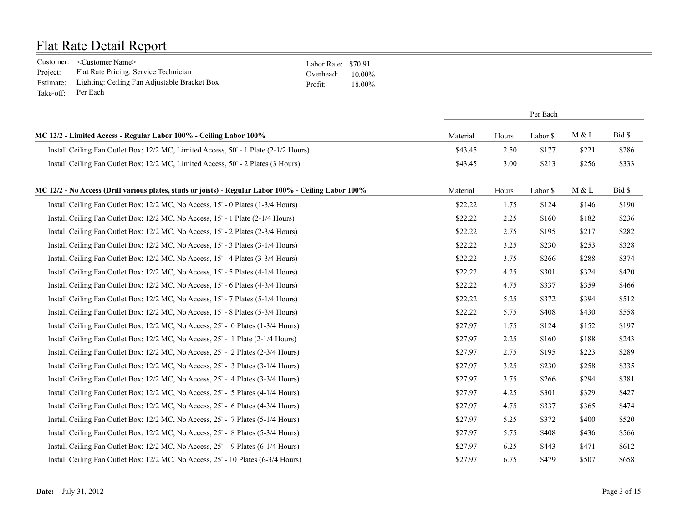|                    | Customer: <customer name=""></customer>                | Labor Rate: \$70.91 |           |
|--------------------|--------------------------------------------------------|---------------------|-----------|
| Project:           | Flat Rate Pricing: Service Technician                  | Overhead:           | $10.00\%$ |
|                    | Estimate: Lighting: Ceiling Fan Adjustable Bracket Box | Profit <sup>.</sup> | 18.00%    |
| Take-off: Per Each |                                                        |                     |           |

|                                                                                                       |          |       | Per Each |       |        |
|-------------------------------------------------------------------------------------------------------|----------|-------|----------|-------|--------|
| MC 12/2 - Limited Access - Regular Labor 100% - Ceiling Labor 100%                                    | Material | Hours | Labor \$ | M & L | Bid \$ |
| Install Ceiling Fan Outlet Box: 12/2 MC, Limited Access, 50' - 1 Plate (2-1/2 Hours)                  | \$43.45  | 2.50  | \$177    | \$221 | \$286  |
| Install Ceiling Fan Outlet Box: 12/2 MC, Limited Access, 50' - 2 Plates (3 Hours)                     | \$43.45  | 3.00  | \$213    | \$256 | \$333  |
| MC 12/2 - No Access (Drill various plates, studs or joists) - Regular Labor 100% - Ceiling Labor 100% | Material | Hours | Labor \$ | M & L | Bid \$ |
| Install Ceiling Fan Outlet Box: 12/2 MC, No Access, 15' - 0 Plates (1-3/4 Hours)                      | \$22.22  | 1.75  | \$124    | \$146 | \$190  |
| Install Ceiling Fan Outlet Box: 12/2 MC, No Access, 15' - 1 Plate (2-1/4 Hours)                       | \$22.22  | 2.25  | \$160    | \$182 | \$236  |
| Install Ceiling Fan Outlet Box: 12/2 MC, No Access, 15' - 2 Plates (2-3/4 Hours)                      | \$22.22  | 2.75  | \$195    | \$217 | \$282  |
| Install Ceiling Fan Outlet Box: 12/2 MC, No Access, 15' - 3 Plates (3-1/4 Hours)                      | \$22.22  | 3.25  | \$230    | \$253 | \$328  |
| Install Ceiling Fan Outlet Box: 12/2 MC, No Access, 15' - 4 Plates (3-3/4 Hours)                      | \$22.22  | 3.75  | \$266    | \$288 | \$374  |
| Install Ceiling Fan Outlet Box: 12/2 MC, No Access, 15' - 5 Plates (4-1/4 Hours)                      | \$22.22  | 4.25  | \$301    | \$324 | \$420  |
| Install Ceiling Fan Outlet Box: 12/2 MC, No Access, 15' - 6 Plates (4-3/4 Hours)                      | \$22.22  | 4.75  | \$337    | \$359 | \$466  |
| Install Ceiling Fan Outlet Box: 12/2 MC, No Access, 15' - 7 Plates (5-1/4 Hours)                      | \$22.22  | 5.25  | \$372    | \$394 | \$512  |
| Install Ceiling Fan Outlet Box: 12/2 MC, No Access, 15' - 8 Plates (5-3/4 Hours)                      | \$22.22  | 5.75  | \$408    | \$430 | \$558  |
| Install Ceiling Fan Outlet Box: 12/2 MC, No Access, 25' - 0 Plates (1-3/4 Hours)                      | \$27.97  | 1.75  | \$124    | \$152 | \$197  |
| Install Ceiling Fan Outlet Box: 12/2 MC, No Access, 25' - 1 Plate (2-1/4 Hours)                       | \$27.97  | 2.25  | \$160    | \$188 | \$243  |
| Install Ceiling Fan Outlet Box: 12/2 MC, No Access, 25' - 2 Plates (2-3/4 Hours)                      | \$27.97  | 2.75  | \$195    | \$223 | \$289  |
| Install Ceiling Fan Outlet Box: 12/2 MC, No Access, 25' - 3 Plates (3-1/4 Hours)                      | \$27.97  | 3.25  | \$230    | \$258 | \$335  |
| Install Ceiling Fan Outlet Box: 12/2 MC, No Access, 25' - 4 Plates (3-3/4 Hours)                      | \$27.97  | 3.75  | \$266    | \$294 | \$381  |
| Install Ceiling Fan Outlet Box: 12/2 MC, No Access, 25' - 5 Plates (4-1/4 Hours)                      | \$27.97  | 4.25  | \$301    | \$329 | \$427  |
| Install Ceiling Fan Outlet Box: 12/2 MC, No Access, 25' - 6 Plates (4-3/4 Hours)                      | \$27.97  | 4.75  | \$337    | \$365 | \$474  |
| Install Ceiling Fan Outlet Box: 12/2 MC, No Access, 25' - 7 Plates (5-1/4 Hours)                      | \$27.97  | 5.25  | \$372    | \$400 | \$520  |
| Install Ceiling Fan Outlet Box: 12/2 MC, No Access, 25' - 8 Plates (5-3/4 Hours)                      | \$27.97  | 5.75  | \$408    | \$436 | \$566  |
| Install Ceiling Fan Outlet Box: 12/2 MC, No Access, 25' - 9 Plates (6-1/4 Hours)                      | \$27.97  | 6.25  | \$443    | \$471 | \$612  |
| Install Ceiling Fan Outlet Box: 12/2 MC, No Access, 25' - 10 Plates (6-3/4 Hours)                     | \$27.97  | 6.75  | \$479    | \$507 | \$658  |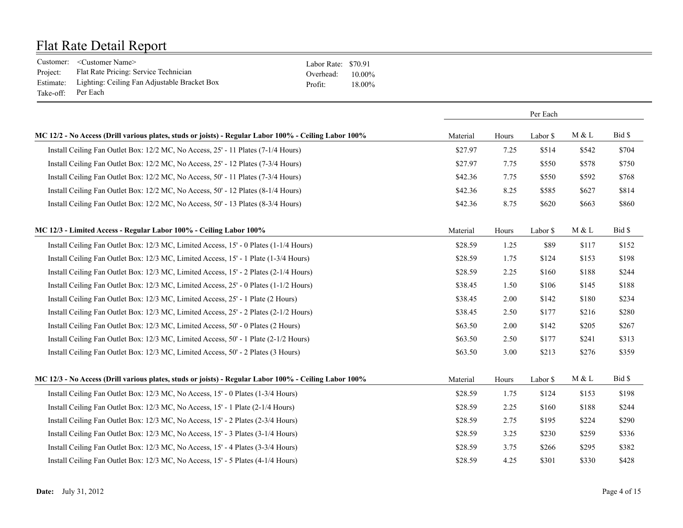|                    | Customer: <customer name=""></customer>                | Labor Rate: \$70.91 |           |
|--------------------|--------------------------------------------------------|---------------------|-----------|
| Project:           | Flat Rate Pricing: Service Technician                  | Overhead:           | $10.00\%$ |
|                    | Estimate: Lighting: Ceiling Fan Adjustable Bracket Box | Profit <sup>-</sup> | 18.00%    |
| Take-off: Per Each |                                                        |                     |           |

|                                                                                                       |          |       | Per Each |       |        |
|-------------------------------------------------------------------------------------------------------|----------|-------|----------|-------|--------|
| MC 12/2 - No Access (Drill various plates, studs or joists) - Regular Labor 100% - Ceiling Labor 100% | Material | Hours | Labor \$ | M & L | Bid \$ |
| Install Ceiling Fan Outlet Box: 12/2 MC, No Access, 25' - 11 Plates (7-1/4 Hours)                     | \$27.97  | 7.25  | \$514    | \$542 | \$704  |
| Install Ceiling Fan Outlet Box: 12/2 MC, No Access, 25' - 12 Plates (7-3/4 Hours)                     | \$27.97  | 7.75  | \$550    | \$578 | \$750  |
| Install Ceiling Fan Outlet Box: 12/2 MC, No Access, 50' - 11 Plates (7-3/4 Hours)                     | \$42.36  | 7.75  | \$550    | \$592 | \$768  |
| Install Ceiling Fan Outlet Box: 12/2 MC, No Access, 50' - 12 Plates (8-1/4 Hours)                     | \$42.36  | 8.25  | \$585    | \$627 | \$814  |
| Install Ceiling Fan Outlet Box: 12/2 MC, No Access, 50' - 13 Plates (8-3/4 Hours)                     | \$42.36  | 8.75  | \$620    | \$663 | \$860  |
| MC 12/3 - Limited Access - Regular Labor 100% - Ceiling Labor 100%                                    | Material | Hours | Labor \$ | M & L | Bid \$ |
| Install Ceiling Fan Outlet Box: 12/3 MC, Limited Access, 15' - 0 Plates (1-1/4 Hours)                 | \$28.59  | 1.25  | \$89     | \$117 | \$152  |
| Install Ceiling Fan Outlet Box: 12/3 MC, Limited Access, 15' - 1 Plate (1-3/4 Hours)                  | \$28.59  | 1.75  | \$124    | \$153 | \$198  |
| Install Ceiling Fan Outlet Box: 12/3 MC, Limited Access, 15' - 2 Plates (2-1/4 Hours)                 | \$28.59  | 2.25  | \$160    | \$188 | \$244  |
| Install Ceiling Fan Outlet Box: 12/3 MC, Limited Access, 25' - 0 Plates (1-1/2 Hours)                 | \$38.45  | 1.50  | \$106    | \$145 | \$188  |
| Install Ceiling Fan Outlet Box: 12/3 MC, Limited Access, 25' - 1 Plate (2 Hours)                      | \$38.45  | 2.00  | \$142    | \$180 | \$234  |
| Install Ceiling Fan Outlet Box: 12/3 MC, Limited Access, 25' - 2 Plates (2-1/2 Hours)                 | \$38.45  | 2.50  | \$177    | \$216 | \$280  |
| Install Ceiling Fan Outlet Box: 12/3 MC, Limited Access, 50' - 0 Plates (2 Hours)                     | \$63.50  | 2.00  | \$142    | \$205 | \$267  |
| Install Ceiling Fan Outlet Box: 12/3 MC, Limited Access, 50' - 1 Plate (2-1/2 Hours)                  | \$63.50  | 2.50  | \$177    | \$241 | \$313  |
| Install Ceiling Fan Outlet Box: 12/3 MC, Limited Access, 50' - 2 Plates (3 Hours)                     | \$63.50  | 3.00  | \$213    | \$276 | \$359  |
| MC 12/3 - No Access (Drill various plates, studs or joists) - Regular Labor 100% - Ceiling Labor 100% | Material | Hours | Labor \$ | M & L | Bid \$ |
| Install Ceiling Fan Outlet Box: 12/3 MC, No Access, 15' - 0 Plates (1-3/4 Hours)                      | \$28.59  | 1.75  | \$124    | \$153 | \$198  |
| Install Ceiling Fan Outlet Box: 12/3 MC, No Access, 15' - 1 Plate (2-1/4 Hours)                       | \$28.59  | 2.25  | \$160    | \$188 | \$244  |
| Install Ceiling Fan Outlet Box: 12/3 MC, No Access, 15' - 2 Plates (2-3/4 Hours)                      | \$28.59  | 2.75  | \$195    | \$224 | \$290  |
| Install Ceiling Fan Outlet Box: 12/3 MC, No Access, 15' - 3 Plates (3-1/4 Hours)                      | \$28.59  | 3.25  | \$230    | \$259 | \$336  |
| Install Ceiling Fan Outlet Box: 12/3 MC, No Access, 15' - 4 Plates (3-3/4 Hours)                      | \$28.59  | 3.75  | \$266    | \$295 | \$382  |
| Install Ceiling Fan Outlet Box: 12/3 MC, No Access, 15' - 5 Plates (4-1/4 Hours)                      | \$28.59  | 4.25  | \$301    | \$330 | \$428  |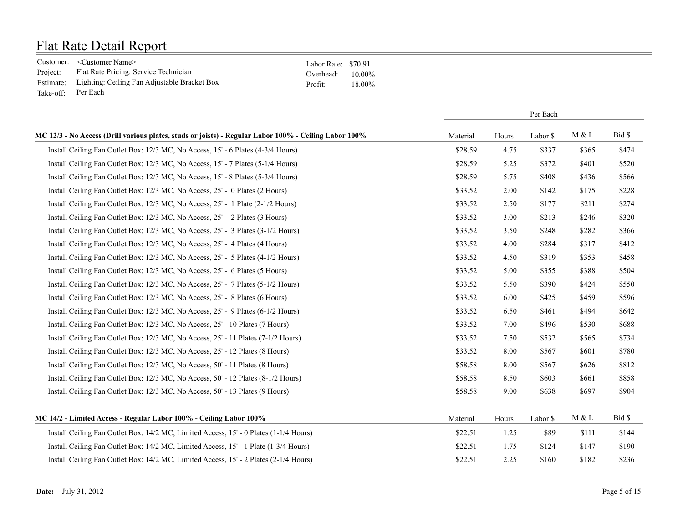|                    | Customer: <customer name=""></customer>                | Labor Rate: \$70.91 |           |
|--------------------|--------------------------------------------------------|---------------------|-----------|
| Project:           | Flat Rate Pricing: Service Technician                  | Overhead:           | $10.00\%$ |
|                    | Estimate: Lighting: Ceiling Fan Adjustable Bracket Box | Profit <sup>-</sup> | 18.00%    |
| Take-off: Per Each |                                                        |                     |           |

|                                                                                                       |          |       | Per Each |       |        |
|-------------------------------------------------------------------------------------------------------|----------|-------|----------|-------|--------|
| MC 12/3 - No Access (Drill various plates, studs or joists) - Regular Labor 100% - Ceiling Labor 100% | Material | Hours | Labor \$ | M & L | Bid \$ |
| Install Ceiling Fan Outlet Box: 12/3 MC, No Access, 15' - 6 Plates (4-3/4 Hours)                      | \$28.59  | 4.75  | \$337    | \$365 | \$474  |
| Install Ceiling Fan Outlet Box: 12/3 MC, No Access, 15' - 7 Plates (5-1/4 Hours)                      | \$28.59  | 5.25  | \$372    | \$401 | \$520  |
| Install Ceiling Fan Outlet Box: 12/3 MC, No Access, 15' - 8 Plates (5-3/4 Hours)                      | \$28.59  | 5.75  | \$408    | \$436 | \$566  |
| Install Ceiling Fan Outlet Box: 12/3 MC, No Access, 25' - 0 Plates (2 Hours)                          | \$33.52  | 2.00  | \$142    | \$175 | \$228  |
| Install Ceiling Fan Outlet Box: 12/3 MC, No Access, 25' - 1 Plate (2-1/2 Hours)                       | \$33.52  | 2.50  | \$177    | \$211 | \$274  |
| Install Ceiling Fan Outlet Box: 12/3 MC, No Access, 25' - 2 Plates (3 Hours)                          | \$33.52  | 3.00  | \$213    | \$246 | \$320  |
| Install Ceiling Fan Outlet Box: 12/3 MC, No Access, 25' - 3 Plates (3-1/2 Hours)                      | \$33.52  | 3.50  | \$248    | \$282 | \$366  |
| Install Ceiling Fan Outlet Box: 12/3 MC, No Access, 25' - 4 Plates (4 Hours)                          | \$33.52  | 4.00  | \$284    | \$317 | \$412  |
| Install Ceiling Fan Outlet Box: 12/3 MC, No Access, 25' - 5 Plates (4-1/2 Hours)                      | \$33.52  | 4.50  | \$319    | \$353 | \$458  |
| Install Ceiling Fan Outlet Box: 12/3 MC, No Access, 25' - 6 Plates (5 Hours)                          | \$33.52  | 5.00  | \$355    | \$388 | \$504  |
| Install Ceiling Fan Outlet Box: 12/3 MC, No Access, 25' - 7 Plates (5-1/2 Hours)                      | \$33.52  | 5.50  | \$390    | \$424 | \$550  |
| Install Ceiling Fan Outlet Box: 12/3 MC, No Access, 25' - 8 Plates (6 Hours)                          | \$33.52  | 6.00  | \$425    | \$459 | \$596  |
| Install Ceiling Fan Outlet Box: 12/3 MC, No Access, 25' - 9 Plates (6-1/2 Hours)                      | \$33.52  | 6.50  | \$461    | \$494 | \$642  |
| Install Ceiling Fan Outlet Box: 12/3 MC, No Access, 25' - 10 Plates (7 Hours)                         | \$33.52  | 7.00  | \$496    | \$530 | \$688  |
| Install Ceiling Fan Outlet Box: 12/3 MC, No Access, 25' - 11 Plates (7-1/2 Hours)                     | \$33.52  | 7.50  | \$532    | \$565 | \$734  |
| Install Ceiling Fan Outlet Box: 12/3 MC, No Access, 25' - 12 Plates (8 Hours)                         | \$33.52  | 8.00  | \$567    | \$601 | \$780  |
| Install Ceiling Fan Outlet Box: 12/3 MC, No Access, 50' - 11 Plates (8 Hours)                         | \$58.58  | 8.00  | \$567    | \$626 | \$812  |
| Install Ceiling Fan Outlet Box: 12/3 MC, No Access, 50' - 12 Plates (8-1/2 Hours)                     | \$58.58  | 8.50  | \$603    | \$661 | \$858  |
| Install Ceiling Fan Outlet Box: 12/3 MC, No Access, 50' - 13 Plates (9 Hours)                         | \$58.58  | 9.00  | \$638    | \$697 | \$904  |
| MC 14/2 - Limited Access - Regular Labor 100% - Ceiling Labor 100%                                    | Material | Hours | Labor \$ | M & L | Bid \$ |
| Install Ceiling Fan Outlet Box: 14/2 MC, Limited Access, 15' - 0 Plates (1-1/4 Hours)                 | \$22.51  | 1.25  | \$89     | \$111 | \$144  |
| Install Ceiling Fan Outlet Box: 14/2 MC, Limited Access, 15' - 1 Plate (1-3/4 Hours)                  | \$22.51  | 1.75  | \$124    | \$147 | \$190  |
| Install Ceiling Fan Outlet Box: 14/2 MC, Limited Access, 15' - 2 Plates (2-1/4 Hours)                 | \$22.51  | 2.25  | \$160    | \$182 | \$236  |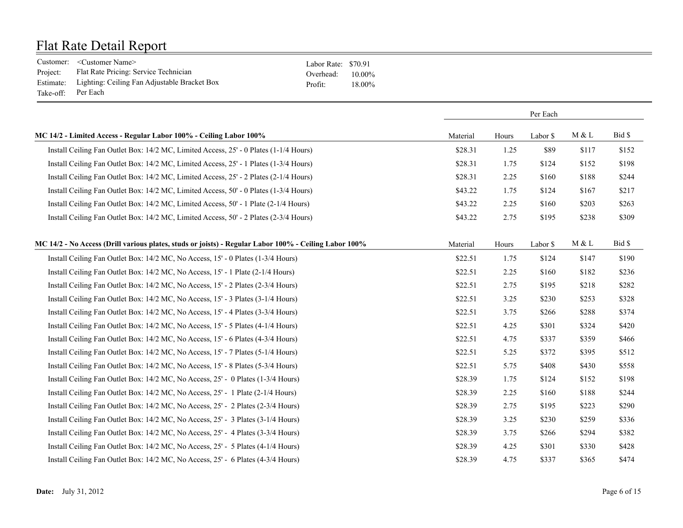|           | Customer: <customer name=""></customer>                | Labor Rate: \$70.91 |           |
|-----------|--------------------------------------------------------|---------------------|-----------|
| Project:  | Flat Rate Pricing: Service Technician                  | Overhead:           | $10.00\%$ |
|           | Estimate: Lighting: Ceiling Fan Adjustable Bracket Box | Profit:             | 18.00%    |
| Take-off: | Per Each                                               |                     |           |

|                                                                                                       |          |       | Per Each |       |        |
|-------------------------------------------------------------------------------------------------------|----------|-------|----------|-------|--------|
| MC 14/2 - Limited Access - Regular Labor 100% - Ceiling Labor 100%                                    | Material | Hours | Labor \$ | M & L | Bid \$ |
| Install Ceiling Fan Outlet Box: 14/2 MC, Limited Access, 25' - 0 Plates (1-1/4 Hours)                 | \$28.31  | 1.25  | \$89     | \$117 | \$152  |
| Install Ceiling Fan Outlet Box: 14/2 MC, Limited Access, 25' - 1 Plates (1-3/4 Hours)                 | \$28.31  | 1.75  | \$124    | \$152 | \$198  |
| Install Ceiling Fan Outlet Box: 14/2 MC, Limited Access, 25' - 2 Plates (2-1/4 Hours)                 | \$28.31  | 2.25  | \$160    | \$188 | \$244  |
| Install Ceiling Fan Outlet Box: 14/2 MC, Limited Access, 50' - 0 Plates (1-3/4 Hours)                 | \$43.22  | 1.75  | \$124    | \$167 | \$217  |
| Install Ceiling Fan Outlet Box: 14/2 MC, Limited Access, 50' - 1 Plate (2-1/4 Hours)                  | \$43.22  | 2.25  | \$160    | \$203 | \$263  |
| Install Ceiling Fan Outlet Box: 14/2 MC, Limited Access, 50' - 2 Plates (2-3/4 Hours)                 | \$43.22  | 2.75  | \$195    | \$238 | \$309  |
| MC 14/2 - No Access (Drill various plates, studs or joists) - Regular Labor 100% - Ceiling Labor 100% | Material | Hours | Labor \$ | M & L | Bid \$ |
| Install Ceiling Fan Outlet Box: 14/2 MC, No Access, 15' - 0 Plates (1-3/4 Hours)                      | \$22.51  | 1.75  | \$124    | \$147 | \$190  |
| Install Ceiling Fan Outlet Box: 14/2 MC, No Access, 15' - 1 Plate (2-1/4 Hours)                       | \$22.51  | 2.25  | \$160    | \$182 | \$236  |
| Install Ceiling Fan Outlet Box: 14/2 MC, No Access, 15' - 2 Plates (2-3/4 Hours)                      | \$22.51  | 2.75  | \$195    | \$218 | \$282  |
| Install Ceiling Fan Outlet Box: 14/2 MC, No Access, 15' - 3 Plates (3-1/4 Hours)                      | \$22.51  | 3.25  | \$230    | \$253 | \$328  |
| Install Ceiling Fan Outlet Box: 14/2 MC, No Access, 15' - 4 Plates (3-3/4 Hours)                      | \$22.51  | 3.75  | \$266    | \$288 | \$374  |
| Install Ceiling Fan Outlet Box: 14/2 MC, No Access, 15' - 5 Plates (4-1/4 Hours)                      | \$22.51  | 4.25  | \$301    | \$324 | \$420  |
| Install Ceiling Fan Outlet Box: 14/2 MC, No Access, 15' - 6 Plates (4-3/4 Hours)                      | \$22.51  | 4.75  | \$337    | \$359 | \$466  |
| Install Ceiling Fan Outlet Box: 14/2 MC, No Access, 15' - 7 Plates (5-1/4 Hours)                      | \$22.51  | 5.25  | \$372    | \$395 | \$512  |
| Install Ceiling Fan Outlet Box: 14/2 MC, No Access, 15' - 8 Plates (5-3/4 Hours)                      | \$22.51  | 5.75  | \$408    | \$430 | \$558  |
| Install Ceiling Fan Outlet Box: 14/2 MC, No Access, 25' - 0 Plates (1-3/4 Hours)                      | \$28.39  | 1.75  | \$124    | \$152 | \$198  |
| Install Ceiling Fan Outlet Box: 14/2 MC, No Access, 25' - 1 Plate (2-1/4 Hours)                       | \$28.39  | 2.25  | \$160    | \$188 | \$244  |
| Install Ceiling Fan Outlet Box: 14/2 MC, No Access, 25' - 2 Plates (2-3/4 Hours)                      | \$28.39  | 2.75  | \$195    | \$223 | \$290  |
| Install Ceiling Fan Outlet Box: 14/2 MC, No Access, 25' - 3 Plates (3-1/4 Hours)                      | \$28.39  | 3.25  | \$230    | \$259 | \$336  |
| Install Ceiling Fan Outlet Box: 14/2 MC, No Access, 25' - 4 Plates (3-3/4 Hours)                      | \$28.39  | 3.75  | \$266    | \$294 | \$382  |
| Install Ceiling Fan Outlet Box: 14/2 MC, No Access, 25' - 5 Plates (4-1/4 Hours)                      | \$28.39  | 4.25  | \$301    | \$330 | \$428  |
| Install Ceiling Fan Outlet Box: 14/2 MC, No Access, 25' - 6 Plates (4-3/4 Hours)                      | \$28.39  | 4.75  | \$337    | \$365 | \$474  |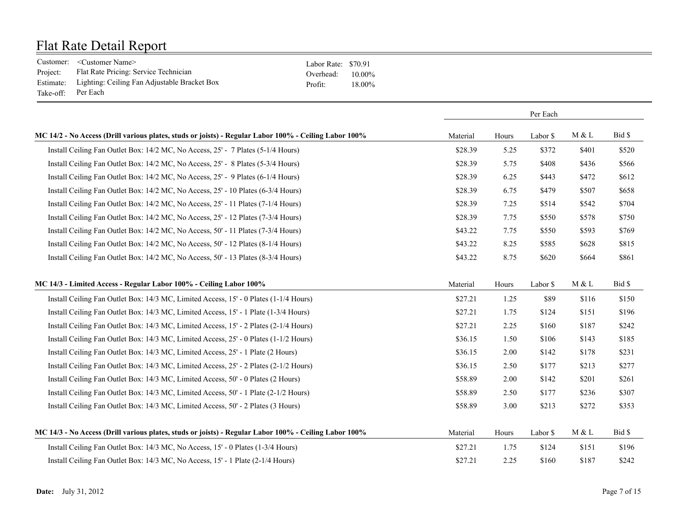|           | Customer: <customer name=""></customer>                | Labor Rate: \$70.91 |           |
|-----------|--------------------------------------------------------|---------------------|-----------|
| Project:  | Flat Rate Pricing: Service Technician                  | Overhead:           | $10.00\%$ |
|           | Estimate: Lighting: Ceiling Fan Adjustable Bracket Box | Profit:             | 18.00%    |
| Take-off: | Per Each                                               |                     |           |

|                                                                                                       |          |       | Per Each |       |        |
|-------------------------------------------------------------------------------------------------------|----------|-------|----------|-------|--------|
| MC 14/2 - No Access (Drill various plates, studs or joists) - Regular Labor 100% - Ceiling Labor 100% | Material | Hours | Labor \$ | M & L | Bid \$ |
| Install Ceiling Fan Outlet Box: 14/2 MC, No Access, 25' - 7 Plates (5-1/4 Hours)                      | \$28.39  | 5.25  | \$372    | \$401 | \$520  |
| Install Ceiling Fan Outlet Box: 14/2 MC, No Access, 25' - 8 Plates (5-3/4 Hours)                      | \$28.39  | 5.75  | \$408    | \$436 | \$566  |
| Install Ceiling Fan Outlet Box: 14/2 MC, No Access, 25' - 9 Plates (6-1/4 Hours)                      | \$28.39  | 6.25  | \$443    | \$472 | \$612  |
| Install Ceiling Fan Outlet Box: 14/2 MC, No Access, 25' - 10 Plates (6-3/4 Hours)                     | \$28.39  | 6.75  | \$479    | \$507 | \$658  |
| Install Ceiling Fan Outlet Box: 14/2 MC, No Access, 25' - 11 Plates (7-1/4 Hours)                     | \$28.39  | 7.25  | \$514    | \$542 | \$704  |
| Install Ceiling Fan Outlet Box: 14/2 MC, No Access, 25' - 12 Plates (7-3/4 Hours)                     | \$28.39  | 7.75  | \$550    | \$578 | \$750  |
| Install Ceiling Fan Outlet Box: 14/2 MC, No Access, 50' - 11 Plates (7-3/4 Hours)                     | \$43.22  | 7.75  | \$550    | \$593 | \$769  |
| Install Ceiling Fan Outlet Box: 14/2 MC, No Access, 50' - 12 Plates (8-1/4 Hours)                     | \$43.22  | 8.25  | \$585    | \$628 | \$815  |
| Install Ceiling Fan Outlet Box: 14/2 MC, No Access, 50' - 13 Plates (8-3/4 Hours)                     | \$43.22  | 8.75  | \$620    | \$664 | \$861  |
| MC 14/3 - Limited Access - Regular Labor 100% - Ceiling Labor 100%                                    | Material | Hours | Labor \$ | M & L | Bid \$ |
| Install Ceiling Fan Outlet Box: 14/3 MC, Limited Access, 15' - 0 Plates (1-1/4 Hours)                 | \$27.21  | 1.25  | \$89     | \$116 | \$150  |
| Install Ceiling Fan Outlet Box: 14/3 MC, Limited Access, 15' - 1 Plate (1-3/4 Hours)                  | \$27.21  | 1.75  | \$124    | \$151 | \$196  |
| Install Ceiling Fan Outlet Box: 14/3 MC, Limited Access, 15' - 2 Plates (2-1/4 Hours)                 | \$27.21  | 2.25  | \$160    | \$187 | \$242  |
| Install Ceiling Fan Outlet Box: 14/3 MC, Limited Access, 25' - 0 Plates (1-1/2 Hours)                 | \$36.15  | 1.50  | \$106    | \$143 | \$185  |
| Install Ceiling Fan Outlet Box: 14/3 MC, Limited Access, 25' - 1 Plate (2 Hours)                      | \$36.15  | 2.00  | \$142    | \$178 | \$231  |
| Install Ceiling Fan Outlet Box: 14/3 MC, Limited Access, 25' - 2 Plates (2-1/2 Hours)                 | \$36.15  | 2.50  | \$177    | \$213 | \$277  |
| Install Ceiling Fan Outlet Box: 14/3 MC, Limited Access, 50' - 0 Plates (2 Hours)                     | \$58.89  | 2.00  | \$142    | \$201 | \$261  |
| Install Ceiling Fan Outlet Box: 14/3 MC, Limited Access, 50' - 1 Plate (2-1/2 Hours)                  | \$58.89  | 2.50  | \$177    | \$236 | \$307  |
| Install Ceiling Fan Outlet Box: 14/3 MC, Limited Access, 50' - 2 Plates (3 Hours)                     | \$58.89  | 3.00  | \$213    | \$272 | \$353  |
| MC 14/3 - No Access (Drill various plates, studs or joists) - Regular Labor 100% - Ceiling Labor 100% | Material | Hours | Labor \$ | M & L | Bid \$ |
| Install Ceiling Fan Outlet Box: 14/3 MC, No Access, 15' - 0 Plates (1-3/4 Hours)                      | \$27.21  | 1.75  | \$124    | \$151 | \$196  |
| Install Ceiling Fan Outlet Box: 14/3 MC, No Access, 15' - 1 Plate (2-1/4 Hours)                       | \$27.21  | 2.25  | \$160    | \$187 | \$242  |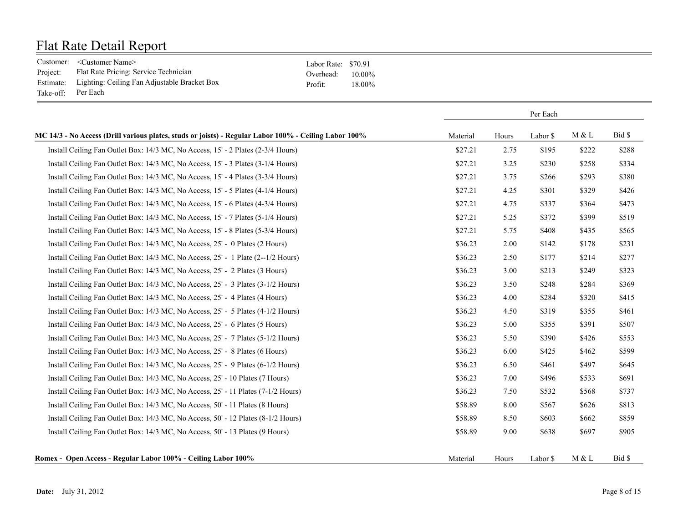|                    | Customer: <customer name=""></customer>                | Labor Rate: \$70.91 |           |
|--------------------|--------------------------------------------------------|---------------------|-----------|
| Project:           | Flat Rate Pricing: Service Technician                  | Overhead:           | $10.00\%$ |
|                    | Estimate: Lighting: Ceiling Fan Adjustable Bracket Box | Profit <sup>-</sup> | 18.00%    |
| Take-off: Per Each |                                                        |                     |           |

|                                                                                                       | Per Each |       |          |       |        |
|-------------------------------------------------------------------------------------------------------|----------|-------|----------|-------|--------|
| MC 14/3 - No Access (Drill various plates, studs or joists) - Regular Labor 100% - Ceiling Labor 100% | Material | Hours | Labor \$ | M & L | Bid \$ |
| Install Ceiling Fan Outlet Box: 14/3 MC, No Access, 15' - 2 Plates (2-3/4 Hours)                      | \$27.21  | 2.75  | \$195    | \$222 | \$288  |
| Install Ceiling Fan Outlet Box: 14/3 MC, No Access, 15' - 3 Plates (3-1/4 Hours)                      | \$27.21  | 3.25  | \$230    | \$258 | \$334  |
| Install Ceiling Fan Outlet Box: 14/3 MC, No Access, 15' - 4 Plates (3-3/4 Hours)                      | \$27.21  | 3.75  | \$266    | \$293 | \$380  |
| Install Ceiling Fan Outlet Box: 14/3 MC, No Access, 15' - 5 Plates (4-1/4 Hours)                      | \$27.21  | 4.25  | \$301    | \$329 | \$426  |
| Install Ceiling Fan Outlet Box: 14/3 MC, No Access, 15' - 6 Plates (4-3/4 Hours)                      | \$27.21  | 4.75  | \$337    | \$364 | \$473  |
| Install Ceiling Fan Outlet Box: 14/3 MC, No Access, 15' - 7 Plates (5-1/4 Hours)                      | \$27.21  | 5.25  | \$372    | \$399 | \$519  |
| Install Ceiling Fan Outlet Box: 14/3 MC, No Access, 15' - 8 Plates (5-3/4 Hours)                      | \$27.21  | 5.75  | \$408    | \$435 | \$565  |
| Install Ceiling Fan Outlet Box: 14/3 MC, No Access, 25' - 0 Plates (2 Hours)                          | \$36.23  | 2.00  | \$142    | \$178 | \$231  |
| Install Ceiling Fan Outlet Box: 14/3 MC, No Access, 25' - 1 Plate (2--1/2 Hours)                      | \$36.23  | 2.50  | \$177    | \$214 | \$277  |
| Install Ceiling Fan Outlet Box: 14/3 MC, No Access, 25' - 2 Plates (3 Hours)                          | \$36.23  | 3.00  | \$213    | \$249 | \$323  |
| Install Ceiling Fan Outlet Box: 14/3 MC, No Access, 25' - 3 Plates (3-1/2 Hours)                      | \$36.23  | 3.50  | \$248    | \$284 | \$369  |
| Install Ceiling Fan Outlet Box: 14/3 MC, No Access, 25' - 4 Plates (4 Hours)                          | \$36.23  | 4.00  | \$284    | \$320 | \$415  |
| Install Ceiling Fan Outlet Box: 14/3 MC, No Access, 25' - 5 Plates (4-1/2 Hours)                      | \$36.23  | 4.50  | \$319    | \$355 | \$461  |
| Install Ceiling Fan Outlet Box: 14/3 MC, No Access, 25' - 6 Plates (5 Hours)                          | \$36.23  | 5.00  | \$355    | \$391 | \$507  |
| Install Ceiling Fan Outlet Box: 14/3 MC, No Access, 25' - 7 Plates (5-1/2 Hours)                      | \$36.23  | 5.50  | \$390    | \$426 | \$553  |
| Install Ceiling Fan Outlet Box: 14/3 MC, No Access, 25' - 8 Plates (6 Hours)                          | \$36.23  | 6.00  | \$425    | \$462 | \$599  |
| Install Ceiling Fan Outlet Box: 14/3 MC, No Access, 25' - 9 Plates (6-1/2 Hours)                      | \$36.23  | 6.50  | \$461    | \$497 | \$645  |
| Install Ceiling Fan Outlet Box: 14/3 MC, No Access, 25' - 10 Plates (7 Hours)                         | \$36.23  | 7.00  | \$496    | \$533 | \$691  |
| Install Ceiling Fan Outlet Box: 14/3 MC, No Access, 25' - 11 Plates (7-1/2 Hours)                     | \$36.23  | 7.50  | \$532    | \$568 | \$737  |
| Install Ceiling Fan Outlet Box: 14/3 MC, No Access, 50' - 11 Plates (8 Hours)                         | \$58.89  | 8.00  | \$567    | \$626 | \$813  |
| Install Ceiling Fan Outlet Box: 14/3 MC, No Access, 50' - 12 Plates (8-1/2 Hours)                     | \$58.89  | 8.50  | \$603    | \$662 | \$859  |
| Install Ceiling Fan Outlet Box: 14/3 MC, No Access, 50' - 13 Plates (9 Hours)                         | \$58.89  | 9.00  | \$638    | \$697 | \$905  |
| Romex - Open Access - Regular Labor 100% - Ceiling Labor 100%                                         | Material | Hours | Labor \$ | M & L | Bid \$ |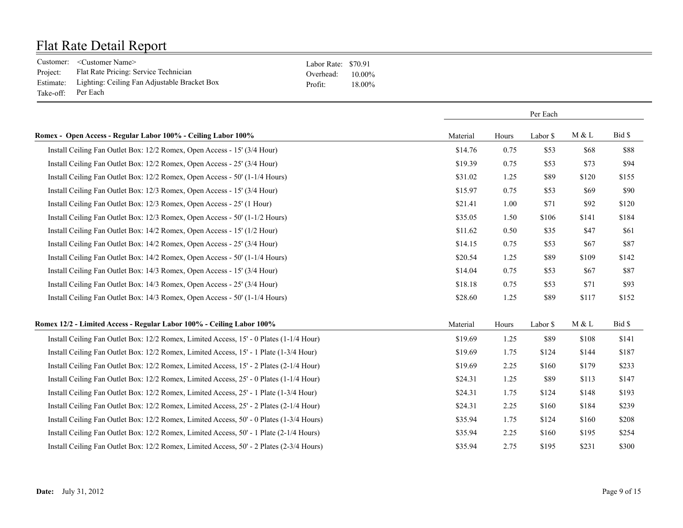|           | Customer: <customer name=""></customer>                | Labor Rate: \$70.91 |           |
|-----------|--------------------------------------------------------|---------------------|-----------|
| Project:  | Flat Rate Pricing: Service Technician                  | Overhead:           | $10.00\%$ |
|           | Estimate: Lighting: Ceiling Fan Adjustable Bracket Box | Profit:             | 18.00%    |
| Take-off: | Per Each                                               |                     |           |

|                                                                                          |          |       | Per Each |       |        |
|------------------------------------------------------------------------------------------|----------|-------|----------|-------|--------|
| Romex - Open Access - Regular Labor 100% - Ceiling Labor 100%                            | Material | Hours | Labor \$ | M & L | Bid \$ |
| Install Ceiling Fan Outlet Box: 12/2 Romex, Open Access - 15' (3/4 Hour)                 | \$14.76  | 0.75  | \$53     | \$68  | \$88   |
| Install Ceiling Fan Outlet Box: 12/2 Romex, Open Access - 25' (3/4 Hour)                 | \$19.39  | 0.75  | \$53     | \$73  | \$94   |
| Install Ceiling Fan Outlet Box: 12/2 Romex, Open Access - 50' (1-1/4 Hours)              | \$31.02  | 1.25  | \$89     | \$120 | \$155  |
| Install Ceiling Fan Outlet Box: 12/3 Romex, Open Access - 15' (3/4 Hour)                 | \$15.97  | 0.75  | \$53     | \$69  | \$90   |
| Install Ceiling Fan Outlet Box: 12/3 Romex, Open Access - 25' (1 Hour)                   | \$21.41  | 1.00  | \$71     | \$92  | \$120  |
| Install Ceiling Fan Outlet Box: 12/3 Romex, Open Access - 50' (1-1/2 Hours)              | \$35.05  | 1.50  | \$106    | \$141 | \$184  |
| Install Ceiling Fan Outlet Box: 14/2 Romex, Open Access - 15' (1/2 Hour)                 | \$11.62  | 0.50  | \$35     | \$47  | \$61   |
| Install Ceiling Fan Outlet Box: 14/2 Romex, Open Access - 25' (3/4 Hour)                 | \$14.15  | 0.75  | \$53     | \$67  | \$87   |
| Install Ceiling Fan Outlet Box: 14/2 Romex, Open Access - 50' (1-1/4 Hours)              | \$20.54  | 1.25  | \$89     | \$109 | \$142  |
| Install Ceiling Fan Outlet Box: 14/3 Romex, Open Access - 15' (3/4 Hour)                 | \$14.04  | 0.75  | \$53     | \$67  | \$87   |
| Install Ceiling Fan Outlet Box: 14/3 Romex, Open Access - 25' (3/4 Hour)                 | \$18.18  | 0.75  | \$53     | \$71  | \$93   |
| Install Ceiling Fan Outlet Box: 14/3 Romex, Open Access - 50' (1-1/4 Hours)              | \$28.60  | 1.25  | \$89     | \$117 | \$152  |
| Romex 12/2 - Limited Access - Regular Labor 100% - Ceiling Labor 100%                    | Material | Hours | Labor \$ | M & L | Bid \$ |
| Install Ceiling Fan Outlet Box: 12/2 Romex, Limited Access, 15' - 0 Plates (1-1/4 Hour)  | \$19.69  | 1.25  | \$89     | \$108 | \$141  |
| Install Ceiling Fan Outlet Box: 12/2 Romex, Limited Access, 15' - 1 Plate (1-3/4 Hour)   | \$19.69  | 1.75  | \$124    | \$144 | \$187  |
| Install Ceiling Fan Outlet Box: 12/2 Romex, Limited Access, 15' - 2 Plates (2-1/4 Hour)  | \$19.69  | 2.25  | \$160    | \$179 | \$233  |
| Install Ceiling Fan Outlet Box: 12/2 Romex, Limited Access, 25' - 0 Plates (1-1/4 Hour)  | \$24.31  | 1.25  | \$89     | \$113 | \$147  |
| Install Ceiling Fan Outlet Box: 12/2 Romex, Limited Access, 25' - 1 Plate (1-3/4 Hour)   | \$24.31  | 1.75  | \$124    | \$148 | \$193  |
| Install Ceiling Fan Outlet Box: 12/2 Romex, Limited Access, 25' - 2 Plates (2-1/4 Hour)  | \$24.31  | 2.25  | \$160    | \$184 | \$239  |
| Install Ceiling Fan Outlet Box: 12/2 Romex, Limited Access, 50' - 0 Plates (1-3/4 Hours) | \$35.94  | 1.75  | \$124    | \$160 | \$208  |
| Install Ceiling Fan Outlet Box: 12/2 Romex, Limited Access, 50' - 1 Plate (2-1/4 Hours)  | \$35.94  | 2.25  | \$160    | \$195 | \$254  |
| Install Ceiling Fan Outlet Box: 12/2 Romex, Limited Access, 50' - 2 Plates (2-3/4 Hours) | \$35.94  | 2.75  | \$195    | \$231 | \$300  |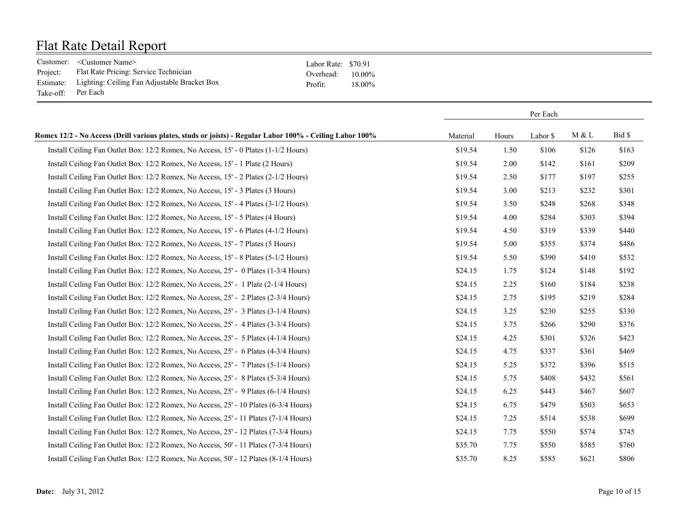|           | Customer: <customer name=""></customer>                | Labor Rate: \$70.91 |           |
|-----------|--------------------------------------------------------|---------------------|-----------|
| Project:  | Flat Rate Pricing: Service Technician                  | Overhead:           | $10.00\%$ |
|           | Estimate: Lighting: Ceiling Fan Adjustable Bracket Box | Profit:             | 18.00%    |
| Take-off: | Per Each                                               |                     |           |

|                                                                                                          | Per Each |       |          |       |        |
|----------------------------------------------------------------------------------------------------------|----------|-------|----------|-------|--------|
| Romex 12/2 - No Access (Drill various plates, studs or joists) - Regular Labor 100% - Ceiling Labor 100% | Material | Hours | Labor \$ | M & L | Bid \$ |
| Install Ceiling Fan Outlet Box: 12/2 Romex, No Access, 15' - 0 Plates (1-1/2 Hours)                      | \$19.54  | 1.50  | \$106    | \$126 | \$163  |
| Install Ceiling Fan Outlet Box: 12/2 Romex, No Access, 15' - 1 Plate (2 Hours)                           | \$19.54  | 2.00  | \$142    | \$161 | \$209  |
| Install Ceiling Fan Outlet Box: 12/2 Romex, No Access, 15' - 2 Plates (2-1/2 Hours)                      | \$19.54  | 2.50  | \$177    | \$197 | \$255  |
| Install Ceiling Fan Outlet Box: 12/2 Romex, No Access, 15' - 3 Plates (3 Hours)                          | \$19.54  | 3.00  | \$213    | \$232 | \$301  |
| Install Ceiling Fan Outlet Box: 12/2 Romex, No Access, 15' - 4 Plates (3-1/2 Hours)                      | \$19.54  | 3.50  | \$248    | \$268 | \$348  |
| Install Ceiling Fan Outlet Box: 12/2 Romex, No Access, 15' - 5 Plates (4 Hours)                          | \$19.54  | 4.00  | \$284    | \$303 | \$394  |
| Install Ceiling Fan Outlet Box: 12/2 Romex, No Access, 15' - 6 Plates (4-1/2 Hours)                      | \$19.54  | 4.50  | \$319    | \$339 | \$440  |
| Install Ceiling Fan Outlet Box: 12/2 Romex, No Access, 15' - 7 Plates (5 Hours)                          | \$19.54  | 5.00  | \$355    | \$374 | \$486  |
| Install Ceiling Fan Outlet Box: 12/2 Romex, No Access, 15' - 8 Plates (5-1/2 Hours)                      | \$19.54  | 5.50  | \$390    | \$410 | \$532  |
| Install Ceiling Fan Outlet Box: 12/2 Romex, No Access, 25' - 0 Plates (1-3/4 Hours)                      | \$24.15  | 1.75  | \$124    | \$148 | \$192  |
| Install Ceiling Fan Outlet Box: 12/2 Romex, No Access, 25' - 1 Plate (2-1/4 Hours)                       | \$24.15  | 2.25  | \$160    | \$184 | \$238  |
| Install Ceiling Fan Outlet Box: 12/2 Romex, No Access, 25' - 2 Plates (2-3/4 Hours)                      | \$24.15  | 2.75  | \$195    | \$219 | \$284  |
| Install Ceiling Fan Outlet Box: 12/2 Romex, No Access, 25' - 3 Plates (3-1/4 Hours)                      | \$24.15  | 3.25  | \$230    | \$255 | \$330  |
| Install Ceiling Fan Outlet Box: 12/2 Romex, No Access, 25' - 4 Plates (3-3/4 Hours)                      | \$24.15  | 3.75  | \$266    | \$290 | \$376  |
| Install Ceiling Fan Outlet Box: 12/2 Romex, No Access, 25' - 5 Plates (4-1/4 Hours)                      | \$24.15  | 4.25  | \$301    | \$326 | \$423  |
| Install Ceiling Fan Outlet Box: 12/2 Romex, No Access, 25' - 6 Plates (4-3/4 Hours)                      | \$24.15  | 4.75  | \$337    | \$361 | \$469  |
| Install Ceiling Fan Outlet Box: 12/2 Romex, No Access, 25' - 7 Plates (5-1/4 Hours)                      | \$24.15  | 5.25  | \$372    | \$396 | \$515  |
| Install Ceiling Fan Outlet Box: 12/2 Romex, No Access, 25' - 8 Plates (5-3/4 Hours)                      | \$24.15  | 5.75  | \$408    | \$432 | \$561  |
| Install Ceiling Fan Outlet Box: 12/2 Romex, No Access, 25' - 9 Plates (6-1/4 Hours)                      | \$24.15  | 6.25  | \$443    | \$467 | \$607  |
| Install Ceiling Fan Outlet Box: 12/2 Romex, No Access, 25' - 10 Plates (6-3/4 Hours)                     | \$24.15  | 6.75  | \$479    | \$503 | \$653  |
| Install Ceiling Fan Outlet Box: 12/2 Romex, No Access, 25' - 11 Plates (7-1/4 Hours)                     | \$24.15  | 7.25  | \$514    | \$538 | \$699  |
| Install Ceiling Fan Outlet Box: 12/2 Romex, No Access, 25' - 12 Plates (7-3/4 Hours)                     | \$24.15  | 7.75  | \$550    | \$574 | \$745  |
| Install Ceiling Fan Outlet Box: 12/2 Romex, No Access, 50' - 11 Plates (7-3/4 Hours)                     | \$35.70  | 7.75  | \$550    | \$585 | \$760  |
| Install Ceiling Fan Outlet Box: 12/2 Romex, No Access, 50' - 12 Plates (8-1/4 Hours)                     | \$35.70  | 8.25  | \$585    | \$621 | \$806  |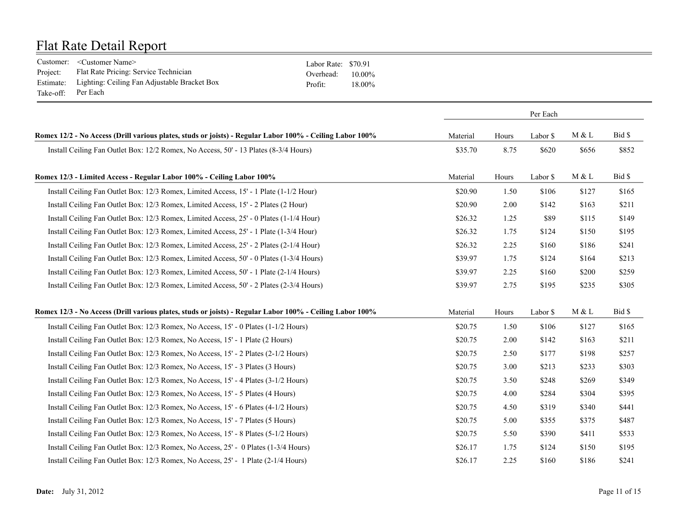|                    | Customer: <customer name=""></customer>                | Labor Rate: \$70.91 |           |
|--------------------|--------------------------------------------------------|---------------------|-----------|
| Project:           | Flat Rate Pricing: Service Technician                  | Overhead:           | $10.00\%$ |
|                    | Estimate: Lighting: Ceiling Fan Adjustable Bracket Box | Profit <sup>.</sup> | 18.00%    |
| Take-off: Per Each |                                                        |                     |           |

|                                                                                                          | Per Each |       |          |       |        |
|----------------------------------------------------------------------------------------------------------|----------|-------|----------|-------|--------|
| Romex 12/2 - No Access (Drill various plates, studs or joists) - Regular Labor 100% - Ceiling Labor 100% | Material | Hours | Labor \$ | M & L | Bid \$ |
| Install Ceiling Fan Outlet Box: 12/2 Romex, No Access, 50' - 13 Plates (8-3/4 Hours)                     | \$35.70  | 8.75  | \$620    | \$656 | \$852  |
| Romex 12/3 - Limited Access - Regular Labor 100% - Ceiling Labor 100%                                    | Material | Hours | Labor \$ | M & L | Bid \$ |
| Install Ceiling Fan Outlet Box: 12/3 Romex, Limited Access, 15' - 1 Plate (1-1/2 Hour)                   | \$20.90  | 1.50  | \$106    | \$127 | \$165  |
| Install Ceiling Fan Outlet Box: 12/3 Romex, Limited Access, 15' - 2 Plates (2 Hour)                      | \$20.90  | 2.00  | \$142    | \$163 | \$211  |
| Install Ceiling Fan Outlet Box: 12/3 Romex, Limited Access, 25' - 0 Plates (1-1/4 Hour)                  | \$26.32  | 1.25  | \$89     | \$115 | \$149  |
| Install Ceiling Fan Outlet Box: 12/3 Romex, Limited Access, 25' - 1 Plate (1-3/4 Hour)                   | \$26.32  | 1.75  | \$124    | \$150 | \$195  |
| Install Ceiling Fan Outlet Box: 12/3 Romex, Limited Access, 25' - 2 Plates (2-1/4 Hour)                  | \$26.32  | 2.25  | \$160    | \$186 | \$241  |
| Install Ceiling Fan Outlet Box: 12/3 Romex, Limited Access, 50' - 0 Plates (1-3/4 Hours)                 | \$39.97  | 1.75  | \$124    | \$164 | \$213  |
| Install Ceiling Fan Outlet Box: 12/3 Romex, Limited Access, 50' - 1 Plate (2-1/4 Hours)                  | \$39.97  | 2.25  | \$160    | \$200 | \$259  |
| Install Ceiling Fan Outlet Box: 12/3 Romex, Limited Access, 50' - 2 Plates (2-3/4 Hours)                 | \$39.97  | 2.75  | \$195    | \$235 | \$305  |
| Romex 12/3 - No Access (Drill various plates, studs or joists) - Regular Labor 100% - Ceiling Labor 100% | Material | Hours | Labor \$ | M & L | Bid \$ |
| Install Ceiling Fan Outlet Box: 12/3 Romex, No Access, 15' - 0 Plates (1-1/2 Hours)                      | \$20.75  | 1.50  | \$106    | \$127 | \$165  |
| Install Ceiling Fan Outlet Box: 12/3 Romex, No Access, 15' - 1 Plate (2 Hours)                           | \$20.75  | 2.00  | \$142    | \$163 | \$211  |
| Install Ceiling Fan Outlet Box: 12/3 Romex, No Access, 15' - 2 Plates (2-1/2 Hours)                      | \$20.75  | 2.50  | \$177    | \$198 | \$257  |
| Install Ceiling Fan Outlet Box: 12/3 Romex, No Access, 15' - 3 Plates (3 Hours)                          | \$20.75  | 3.00  | \$213    | \$233 | \$303  |
| Install Ceiling Fan Outlet Box: 12/3 Romex, No Access, 15' - 4 Plates (3-1/2 Hours)                      | \$20.75  | 3.50  | \$248    | \$269 | \$349  |
| Install Ceiling Fan Outlet Box: 12/3 Romex, No Access, 15' - 5 Plates (4 Hours)                          | \$20.75  | 4.00  | \$284    | \$304 | \$395  |
| Install Ceiling Fan Outlet Box: 12/3 Romex, No Access, 15' - 6 Plates (4-1/2 Hours)                      | \$20.75  | 4.50  | \$319    | \$340 | \$441  |
| Install Ceiling Fan Outlet Box: 12/3 Romex, No Access, 15' - 7 Plates (5 Hours)                          | \$20.75  | 5.00  | \$355    | \$375 | \$487  |
| Install Ceiling Fan Outlet Box: 12/3 Romex, No Access, 15' - 8 Plates (5-1/2 Hours)                      | \$20.75  | 5.50  | \$390    | \$411 | \$533  |
| Install Ceiling Fan Outlet Box: 12/3 Romex, No Access, 25' - 0 Plates (1-3/4 Hours)                      | \$26.17  | 1.75  | \$124    | \$150 | \$195  |
| Install Ceiling Fan Outlet Box: 12/3 Romex, No Access, 25' - 1 Plate (2-1/4 Hours)                       | \$26.17  | 2.25  | \$160    | \$186 | \$241  |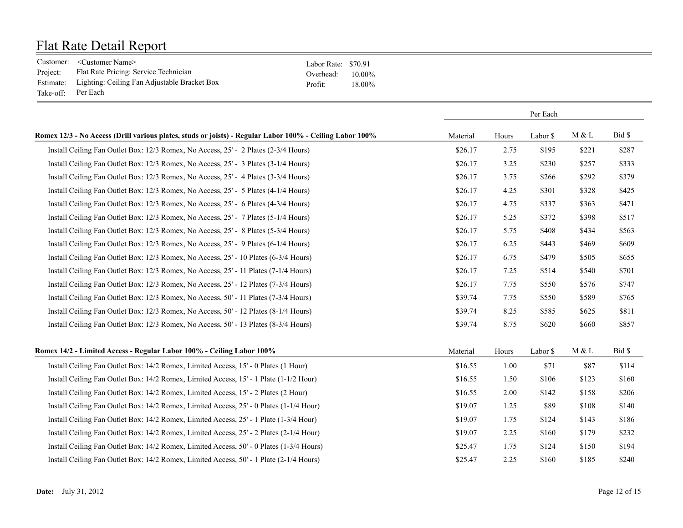|           | Customer: <customer name=""></customer>                | Labor Rate: \$70.91 |           |
|-----------|--------------------------------------------------------|---------------------|-----------|
| Project:  | Flat Rate Pricing: Service Technician                  | Overhead:           | $10.00\%$ |
|           | Estimate: Lighting: Ceiling Fan Adjustable Bracket Box | Profit <sup>-</sup> | 18.00%    |
| Take-off: | Per Each                                               |                     |           |

|                                                                                                          |          |       | Per Each |       |        |
|----------------------------------------------------------------------------------------------------------|----------|-------|----------|-------|--------|
| Romex 12/3 - No Access (Drill various plates, studs or joists) - Regular Labor 100% - Ceiling Labor 100% | Material | Hours | Labor \$ | M & L | Bid \$ |
| Install Ceiling Fan Outlet Box: 12/3 Romex, No Access, 25' - 2 Plates (2-3/4 Hours)                      | \$26.17  | 2.75  | \$195    | \$221 | \$287  |
| Install Ceiling Fan Outlet Box: 12/3 Romex, No Access, 25' - 3 Plates (3-1/4 Hours)                      | \$26.17  | 3.25  | \$230    | \$257 | \$333  |
| Install Ceiling Fan Outlet Box: 12/3 Romex, No Access, 25' - 4 Plates (3-3/4 Hours)                      | \$26.17  | 3.75  | \$266    | \$292 | \$379  |
| Install Ceiling Fan Outlet Box: 12/3 Romex, No Access, 25' - 5 Plates (4-1/4 Hours)                      | \$26.17  | 4.25  | \$301    | \$328 | \$425  |
| Install Ceiling Fan Outlet Box: 12/3 Romex, No Access, 25' - 6 Plates (4-3/4 Hours)                      | \$26.17  | 4.75  | \$337    | \$363 | \$471  |
| Install Ceiling Fan Outlet Box: 12/3 Romex, No Access, 25' - 7 Plates (5-1/4 Hours)                      | \$26.17  | 5.25  | \$372    | \$398 | \$517  |
| Install Ceiling Fan Outlet Box: 12/3 Romex, No Access, 25' - 8 Plates (5-3/4 Hours)                      | \$26.17  | 5.75  | \$408    | \$434 | \$563  |
| Install Ceiling Fan Outlet Box: 12/3 Romex, No Access, 25' - 9 Plates (6-1/4 Hours)                      | \$26.17  | 6.25  | \$443    | \$469 | \$609  |
| Install Ceiling Fan Outlet Box: 12/3 Romex, No Access, 25' - 10 Plates (6-3/4 Hours)                     | \$26.17  | 6.75  | \$479    | \$505 | \$655  |
| Install Ceiling Fan Outlet Box: 12/3 Romex, No Access, 25' - 11 Plates (7-1/4 Hours)                     | \$26.17  | 7.25  | \$514    | \$540 | \$701  |
| Install Ceiling Fan Outlet Box: 12/3 Romex, No Access, 25' - 12 Plates (7-3/4 Hours)                     | \$26.17  | 7.75  | \$550    | \$576 | \$747  |
| Install Ceiling Fan Outlet Box: 12/3 Romex, No Access, 50' - 11 Plates (7-3/4 Hours)                     | \$39.74  | 7.75  | \$550    | \$589 | \$765  |
| Install Ceiling Fan Outlet Box: 12/3 Romex, No Access, 50' - 12 Plates (8-1/4 Hours)                     | \$39.74  | 8.25  | \$585    | \$625 | \$811  |
| Install Ceiling Fan Outlet Box: 12/3 Romex, No Access, 50' - 13 Plates (8-3/4 Hours)                     | \$39.74  | 8.75  | \$620    | \$660 | \$857  |
| Romex 14/2 - Limited Access - Regular Labor 100% - Ceiling Labor 100%                                    | Material | Hours | Labor \$ | M & L | Bid \$ |
| Install Ceiling Fan Outlet Box: 14/2 Romex, Limited Access, 15' - 0 Plates (1 Hour)                      | \$16.55  | 1.00  | \$71     | \$87  | \$114  |
| Install Ceiling Fan Outlet Box: 14/2 Romex, Limited Access, 15' - 1 Plate (1-1/2 Hour)                   | \$16.55  | 1.50  | \$106    | \$123 | \$160  |
| Install Ceiling Fan Outlet Box: 14/2 Romex, Limited Access, 15' - 2 Plates (2 Hour)                      | \$16.55  | 2.00  | \$142    | \$158 | \$206  |
| Install Ceiling Fan Outlet Box: 14/2 Romex, Limited Access, 25' - 0 Plates (1-1/4 Hour)                  | \$19.07  | 1.25  | \$89     | \$108 | \$140  |
| Install Ceiling Fan Outlet Box: 14/2 Romex, Limited Access, 25' - 1 Plate (1-3/4 Hour)                   | \$19.07  | 1.75  | \$124    | \$143 | \$186  |
| Install Ceiling Fan Outlet Box: 14/2 Romex, Limited Access, 25' - 2 Plates (2-1/4 Hour)                  | \$19.07  | 2.25  | \$160    | \$179 | \$232  |
| Install Ceiling Fan Outlet Box: 14/2 Romex, Limited Access, 50' - 0 Plates (1-3/4 Hours)                 | \$25.47  | 1.75  | \$124    | \$150 | \$194  |
| Install Ceiling Fan Outlet Box: 14/2 Romex, Limited Access, 50' - 1 Plate (2-1/4 Hours)                  | \$25.47  | 2.25  | \$160    | \$185 | \$240  |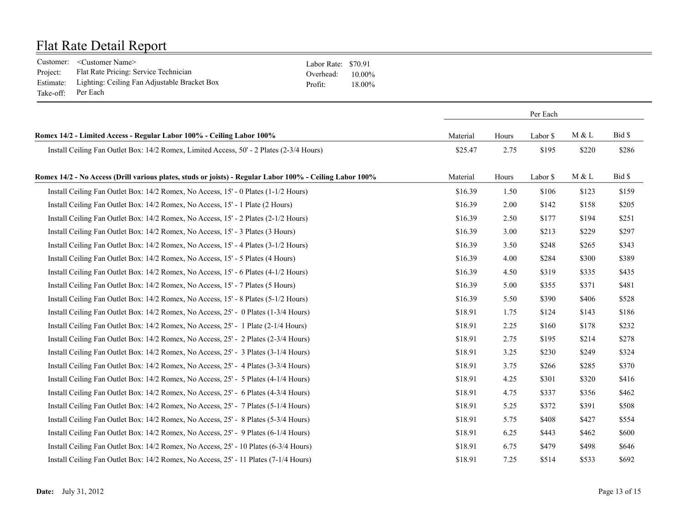|                    | Customer: <customer name=""></customer>                | Labor Rate: \$70.91 |           |
|--------------------|--------------------------------------------------------|---------------------|-----------|
| Project:           | Flat Rate Pricing: Service Technician                  | Overhead:           | $10.00\%$ |
|                    | Estimate: Lighting: Ceiling Fan Adjustable Bracket Box | Profit <sup>.</sup> | $18.00\%$ |
| Take-off: Per Each |                                                        |                     |           |

|                                                                                                          | Per Each |       |          |       |        |
|----------------------------------------------------------------------------------------------------------|----------|-------|----------|-------|--------|
| Romex 14/2 - Limited Access - Regular Labor 100% - Ceiling Labor 100%                                    | Material | Hours | Labor \$ | M & L | Bid \$ |
| Install Ceiling Fan Outlet Box: 14/2 Romex, Limited Access, 50' - 2 Plates (2-3/4 Hours)                 | \$25.47  | 2.75  | \$195    | \$220 | \$286  |
| Romex 14/2 - No Access (Drill various plates, studs or joists) - Regular Labor 100% - Ceiling Labor 100% | Material | Hours | Labor \$ | M & L | Bid \$ |
| Install Ceiling Fan Outlet Box: 14/2 Romex, No Access, 15' - 0 Plates (1-1/2 Hours)                      | \$16.39  | 1.50  | \$106    | \$123 | \$159  |
| Install Ceiling Fan Outlet Box: 14/2 Romex, No Access, 15' - 1 Plate (2 Hours)                           | \$16.39  | 2.00  | \$142    | \$158 | \$205  |
| Install Ceiling Fan Outlet Box: 14/2 Romex, No Access, 15' - 2 Plates (2-1/2 Hours)                      | \$16.39  | 2.50  | \$177    | \$194 | \$251  |
| Install Ceiling Fan Outlet Box: 14/2 Romex, No Access, 15' - 3 Plates (3 Hours)                          | \$16.39  | 3.00  | \$213    | \$229 | \$297  |
| Install Ceiling Fan Outlet Box: 14/2 Romex, No Access, 15' - 4 Plates (3-1/2 Hours)                      | \$16.39  | 3.50  | \$248    | \$265 | \$343  |
| Install Ceiling Fan Outlet Box: 14/2 Romex, No Access, 15' - 5 Plates (4 Hours)                          | \$16.39  | 4.00  | \$284    | \$300 | \$389  |
| Install Ceiling Fan Outlet Box: 14/2 Romex, No Access, 15' - 6 Plates (4-1/2 Hours)                      | \$16.39  | 4.50  | \$319    | \$335 | \$435  |
| Install Ceiling Fan Outlet Box: 14/2 Romex, No Access, 15' - 7 Plates (5 Hours)                          | \$16.39  | 5.00  | \$355    | \$371 | \$481  |
| Install Ceiling Fan Outlet Box: 14/2 Romex, No Access, 15' - 8 Plates (5-1/2 Hours)                      | \$16.39  | 5.50  | \$390    | \$406 | \$528  |
| Install Ceiling Fan Outlet Box: 14/2 Romex, No Access, 25' - 0 Plates (1-3/4 Hours)                      | \$18.91  | 1.75  | \$124    | \$143 | \$186  |
| Install Ceiling Fan Outlet Box: 14/2 Romex, No Access, 25' - 1 Plate (2-1/4 Hours)                       | \$18.91  | 2.25  | \$160    | \$178 | \$232  |
| Install Ceiling Fan Outlet Box: 14/2 Romex, No Access, 25' - 2 Plates (2-3/4 Hours)                      | \$18.91  | 2.75  | \$195    | \$214 | \$278  |
| Install Ceiling Fan Outlet Box: 14/2 Romex, No Access, 25' - 3 Plates (3-1/4 Hours)                      | \$18.91  | 3.25  | \$230    | \$249 | \$324  |
| Install Ceiling Fan Outlet Box: 14/2 Romex, No Access, 25' - 4 Plates (3-3/4 Hours)                      | \$18.91  | 3.75  | \$266    | \$285 | \$370  |
| Install Ceiling Fan Outlet Box: 14/2 Romex, No Access, 25' - 5 Plates (4-1/4 Hours)                      | \$18.91  | 4.25  | \$301    | \$320 | \$416  |
| Install Ceiling Fan Outlet Box: 14/2 Romex, No Access, 25' - 6 Plates (4-3/4 Hours)                      | \$18.91  | 4.75  | \$337    | \$356 | \$462  |
| Install Ceiling Fan Outlet Box: 14/2 Romex, No Access, 25' - 7 Plates (5-1/4 Hours)                      | \$18.91  | 5.25  | \$372    | \$391 | \$508  |
| Install Ceiling Fan Outlet Box: 14/2 Romex, No Access, 25' - 8 Plates (5-3/4 Hours)                      | \$18.91  | 5.75  | \$408    | \$427 | \$554  |
| Install Ceiling Fan Outlet Box: 14/2 Romex, No Access, 25' - 9 Plates (6-1/4 Hours)                      | \$18.91  | 6.25  | \$443    | \$462 | \$600  |
| Install Ceiling Fan Outlet Box: 14/2 Romex, No Access, 25' - 10 Plates (6-3/4 Hours)                     | \$18.91  | 6.75  | \$479    | \$498 | \$646  |
| Install Ceiling Fan Outlet Box: 14/2 Romex, No Access, 25' - 11 Plates (7-1/4 Hours)                     | \$18.91  | 7.25  | \$514    | \$533 | \$692  |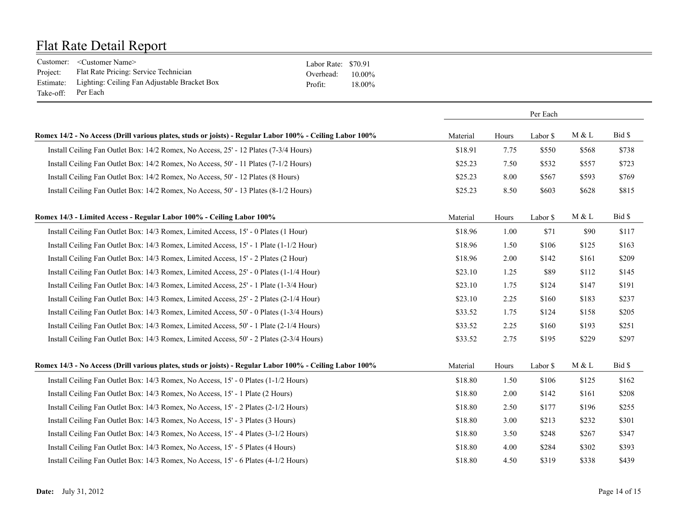|                    | Customer: <customer name=""></customer>                | Labor Rate: \$70.91 |           |
|--------------------|--------------------------------------------------------|---------------------|-----------|
| Project:           | Flat Rate Pricing: Service Technician                  | Overhead:           | $10.00\%$ |
|                    | Estimate: Lighting: Ceiling Fan Adjustable Bracket Box | Profit <sup>.</sup> | 18.00%    |
| Take-off: Per Each |                                                        |                     |           |

|                                                                                                          | Per Each |       |          |       |        |
|----------------------------------------------------------------------------------------------------------|----------|-------|----------|-------|--------|
| Romex 14/2 - No Access (Drill various plates, studs or joists) - Regular Labor 100% - Ceiling Labor 100% | Material | Hours | Labor \$ | M & L | Bid \$ |
| Install Ceiling Fan Outlet Box: 14/2 Romex, No Access, 25' - 12 Plates (7-3/4 Hours)                     | \$18.91  | 7.75  | \$550    | \$568 | \$738  |
| Install Ceiling Fan Outlet Box: 14/2 Romex, No Access, 50' - 11 Plates (7-1/2 Hours)                     | \$25.23  | 7.50  | \$532    | \$557 | \$723  |
| Install Ceiling Fan Outlet Box: 14/2 Romex, No Access, 50' - 12 Plates (8 Hours)                         | \$25.23  | 8.00  | \$567    | \$593 | \$769  |
| Install Ceiling Fan Outlet Box: 14/2 Romex, No Access, 50' - 13 Plates (8-1/2 Hours)                     | \$25.23  | 8.50  | \$603    | \$628 | \$815  |
| Romex 14/3 - Limited Access - Regular Labor 100% - Ceiling Labor 100%                                    | Material | Hours | Labor \$ | M & L | Bid \$ |
| Install Ceiling Fan Outlet Box: 14/3 Romex, Limited Access, 15' - 0 Plates (1 Hour)                      | \$18.96  | 1.00  | \$71     | \$90  | \$117  |
| Install Ceiling Fan Outlet Box: 14/3 Romex, Limited Access, 15' - 1 Plate (1-1/2 Hour)                   | \$18.96  | 1.50  | \$106    | \$125 | \$163  |
| Install Ceiling Fan Outlet Box: 14/3 Romex, Limited Access, 15' - 2 Plates (2 Hour)                      | \$18.96  | 2.00  | \$142    | \$161 | \$209  |
| Install Ceiling Fan Outlet Box: 14/3 Romex, Limited Access, 25' - 0 Plates (1-1/4 Hour)                  | \$23.10  | 1.25  | \$89     | \$112 | \$145  |
| Install Ceiling Fan Outlet Box: 14/3 Romex, Limited Access, 25' - 1 Plate (1-3/4 Hour)                   | \$23.10  | 1.75  | \$124    | \$147 | \$191  |
| Install Ceiling Fan Outlet Box: 14/3 Romex, Limited Access, 25' - 2 Plates (2-1/4 Hour)                  | \$23.10  | 2.25  | \$160    | \$183 | \$237  |
| Install Ceiling Fan Outlet Box: 14/3 Romex, Limited Access, 50' - 0 Plates (1-3/4 Hours)                 | \$33.52  | 1.75  | \$124    | \$158 | \$205  |
| Install Ceiling Fan Outlet Box: 14/3 Romex, Limited Access, 50' - 1 Plate (2-1/4 Hours)                  | \$33.52  | 2.25  | \$160    | \$193 | \$251  |
| Install Ceiling Fan Outlet Box: 14/3 Romex, Limited Access, 50' - 2 Plates (2-3/4 Hours)                 | \$33.52  | 2.75  | \$195    | \$229 | \$297  |
| Romex 14/3 - No Access (Drill various plates, studs or joists) - Regular Labor 100% - Ceiling Labor 100% | Material | Hours | Labor \$ | M & L | Bid \$ |
| Install Ceiling Fan Outlet Box: 14/3 Romex, No Access, 15' - 0 Plates (1-1/2 Hours)                      | \$18.80  | 1.50  | \$106    | \$125 | \$162  |
| Install Ceiling Fan Outlet Box: 14/3 Romex, No Access, 15' - 1 Plate (2 Hours)                           | \$18.80  | 2.00  | \$142    | \$161 | \$208  |
| Install Ceiling Fan Outlet Box: 14/3 Romex, No Access, 15' - 2 Plates (2-1/2 Hours)                      | \$18.80  | 2.50  | \$177    | \$196 | \$255  |
| Install Ceiling Fan Outlet Box: 14/3 Romex, No Access, 15' - 3 Plates (3 Hours)                          | \$18.80  | 3.00  | \$213    | \$232 | \$301  |
| Install Ceiling Fan Outlet Box: 14/3 Romex, No Access, 15' - 4 Plates (3-1/2 Hours)                      | \$18.80  | 3.50  | \$248    | \$267 | \$347  |
| Install Ceiling Fan Outlet Box: 14/3 Romex, No Access, 15' - 5 Plates (4 Hours)                          | \$18.80  | 4.00  | \$284    | \$302 | \$393  |
| Install Ceiling Fan Outlet Box: 14/3 Romex, No Access, 15' - 6 Plates (4-1/2 Hours)                      | \$18.80  | 4.50  | \$319    | \$338 | \$439  |